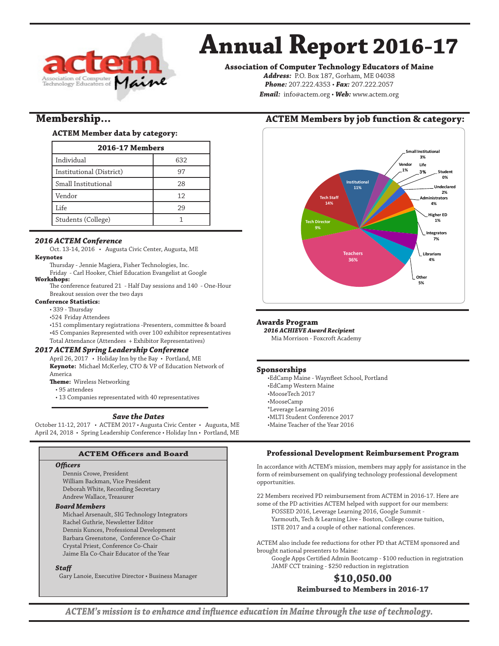

# **Annual Report 2016-17**

**Association of Computer Technology Educators of Maine**

*Address:* P.O. Box 187, Gorham, ME 04038 *Phone:* 207.222.4353 • *Fax:* 207.222.2057 *Email:* info@actem.org • *Web:* www.actem.org

# **Membership...**

## **ACTEM Member data by category:**

| <b>2016-17 Members</b>   |     |  |
|--------------------------|-----|--|
| Individual               | 632 |  |
| Institutional (District) | 97  |  |
| Small Institutional      | 28  |  |
| Vendor                   | 12  |  |
| Life                     | 29  |  |
| Students (College)       |     |  |

## *2016 ACTEM Conference*

Oct. 13-14, 2016 • Augusta Civic Center, Augusta, ME

- **Keynotes**
	- Thursday Jennie Magiera, Fisher Technologies, Inc.
- Friday Carl Hooker, Chief Education Evangelist at Google **Workshops:**
	- The conference featured 21 Half Day sessions and 140 One-Hour Breakout session over the two days

#### **Conference Statistics:**

• 339 - Thursday

- •524 Friday Attendees
- •151 complimentary registrations -Presenters, committee & board
- •45 Companies Represented with over 100 exhibitor representatives Total Attendance (Attendees + Exhibitor Representatives)

#### *2017 ACTEM Spring Leadership Conference*

- April 26, 2017 Holiday Inn by the Bay Portland, ME **Keynote:** Michael McKerley, CTO & VP of Education Network of America
- **Theme:** Wireless Networking
- 95 attendees
- 13 Companies representated with 40 representatives

#### *Save the Dates*

October 11-12, 2017 • ACTEM 2017 • Augusta Civic Center • Augusta, ME April 24, 2018 • Spring Leadership Conference • Holiday Inn • Portland, ME

#### **ACTEM Officers and Board**

#### *Officers*

Dennis Crowe, President William Backman, Vice President Deborah White, Recording Secretary Andrew Wallace, Treasurer

#### *Board Members*

Michael Arsenault, SIG Technology Integrators Rachel Guthrie, Newsletter Editor Dennis Kunces, Professional Development Barbara Greenstone, Conference Co-Chair Crystal Priest, Conference Co-Chair Jaime Ela Co-Chair Educator of the Year

#### *Staff*

Gary Lanoie, Executive Director • Business Manager

# **ACTEM Members by job function & category:**



#### **Awards Program**

*2016 ACHIEVE Award Recipient*

Mia Morrison - Foxcroft Academy

#### **Sponsorships**

•EdCamp Maine - Waynfleet School, Portland •EdCamp Western Maine •MooseTech 2017 •MooseCamp \*Leverage Learning 2016 •MLTI Student Conference 2017 •Maine Teacher of the Year 2016

# **Professional Development Reimbursement Program**

In accordance with ACTEM's mission, members may apply for assistance in the form of reimbursement on qualifying technology professional development opportunities.

22 Members received PD reimbursement from ACTEM in 2016-17. Here are some of the PD activities ACTEM helped with support for our members: FOSSED 2016, Leverage Learning 2016, Google Summit -

Yarmouth, Tech & Learning Live - Boston, College course tuition, ISTE 2017 and a couple of other national conferences.

ACTEM also include fee reductions for other PD that ACTEM sponsored and brought national presenters to Maine:

Google Apps Certified Admin Bootcamp - \$100 reduction in registration JAMF CCT training - \$250 reduction in registration

# **\$10,050.00 Reimbursed to Members in 2016-17**

*ACTEM's mission is to enhance and influence education in Maine through the use of technology.*